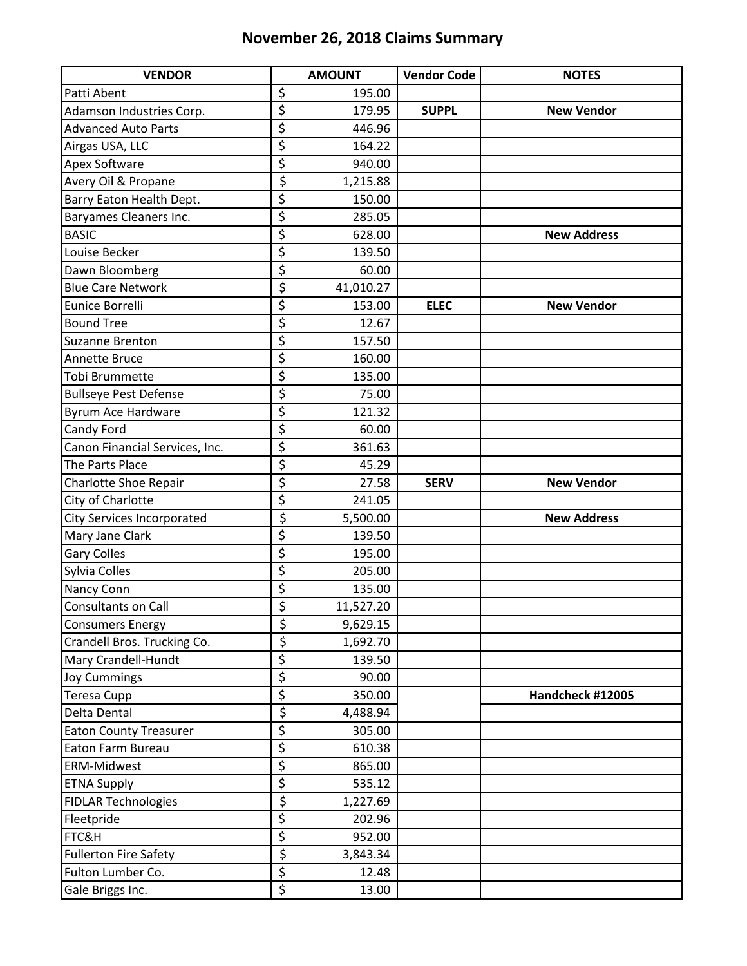## **November 26, 2018 Claims Summary**

| <b>VENDOR</b>                  | <b>AMOUNT</b>             | <b>Vendor Code</b> | <b>NOTES</b>       |
|--------------------------------|---------------------------|--------------------|--------------------|
| Patti Abent                    | \$<br>195.00              |                    |                    |
| Adamson Industries Corp.       | \$<br>179.95              | <b>SUPPL</b>       | <b>New Vendor</b>  |
| <b>Advanced Auto Parts</b>     | \$<br>446.96              |                    |                    |
| Airgas USA, LLC                | \$<br>164.22              |                    |                    |
| <b>Apex Software</b>           | \$<br>940.00              |                    |                    |
| Avery Oil & Propane            | \$<br>1,215.88            |                    |                    |
| Barry Eaton Health Dept.       | \$<br>150.00              |                    |                    |
| Baryames Cleaners Inc.         | \$<br>285.05              |                    |                    |
| <b>BASIC</b>                   | \$<br>628.00              |                    | <b>New Address</b> |
| Louise Becker                  | \$<br>139.50              |                    |                    |
| Dawn Bloomberg                 | \$<br>60.00               |                    |                    |
| <b>Blue Care Network</b>       | \$<br>41,010.27           |                    |                    |
| Eunice Borrelli                | \$<br>153.00              | <b>ELEC</b>        | <b>New Vendor</b>  |
| <b>Bound Tree</b>              | \$<br>12.67               |                    |                    |
| Suzanne Brenton                | \$<br>157.50              |                    |                    |
| Annette Bruce                  | \$<br>160.00              |                    |                    |
| Tobi Brummette                 | \$<br>135.00              |                    |                    |
| <b>Bullseye Pest Defense</b>   | \$<br>75.00               |                    |                    |
| Byrum Ace Hardware             | \$<br>121.32              |                    |                    |
| Candy Ford                     | \$<br>60.00               |                    |                    |
| Canon Financial Services, Inc. | \$<br>361.63              |                    |                    |
| The Parts Place                | \$<br>45.29               |                    |                    |
| Charlotte Shoe Repair          | \$<br>27.58               | <b>SERV</b>        | <b>New Vendor</b>  |
| City of Charlotte              | \$<br>241.05              |                    |                    |
| City Services Incorporated     | \$<br>5,500.00            |                    | <b>New Address</b> |
| Mary Jane Clark                | \$<br>139.50              |                    |                    |
| <b>Gary Colles</b>             | \$<br>195.00              |                    |                    |
| Sylvia Colles                  | \$<br>205.00              |                    |                    |
| Nancy Conn                     | \$<br>135.00              |                    |                    |
| Consultants on Call            | \$<br>11,527.20           |                    |                    |
| <b>Consumers Energy</b>        | \$<br>9,629.15            |                    |                    |
| Crandell Bros. Trucking Co.    | \$<br>1,692.70            |                    |                    |
| Mary Crandell-Hundt            | \$<br>139.50              |                    |                    |
| <b>Joy Cummings</b>            | \$<br>90.00               |                    |                    |
| <b>Teresa Cupp</b>             | \$<br>350.00              |                    | Handcheck #12005   |
| Delta Dental                   | \$<br>4,488.94            |                    |                    |
| <b>Eaton County Treasurer</b>  | \$<br>305.00              |                    |                    |
| Eaton Farm Bureau              | \$<br>610.38              |                    |                    |
| <b>ERM-Midwest</b>             | \$<br>865.00              |                    |                    |
| <b>ETNA Supply</b>             | \$<br>535.12              |                    |                    |
| <b>FIDLAR Technologies</b>     | \$<br>1,227.69            |                    |                    |
| Fleetpride                     | \$<br>202.96              |                    |                    |
| FTC&H                          | \$<br>952.00              |                    |                    |
| <b>Fullerton Fire Safety</b>   | \$<br>3,843.34            |                    |                    |
| Fulton Lumber Co.              | \$<br>12.48               |                    |                    |
| Gale Briggs Inc.               | $\overline{\xi}$<br>13.00 |                    |                    |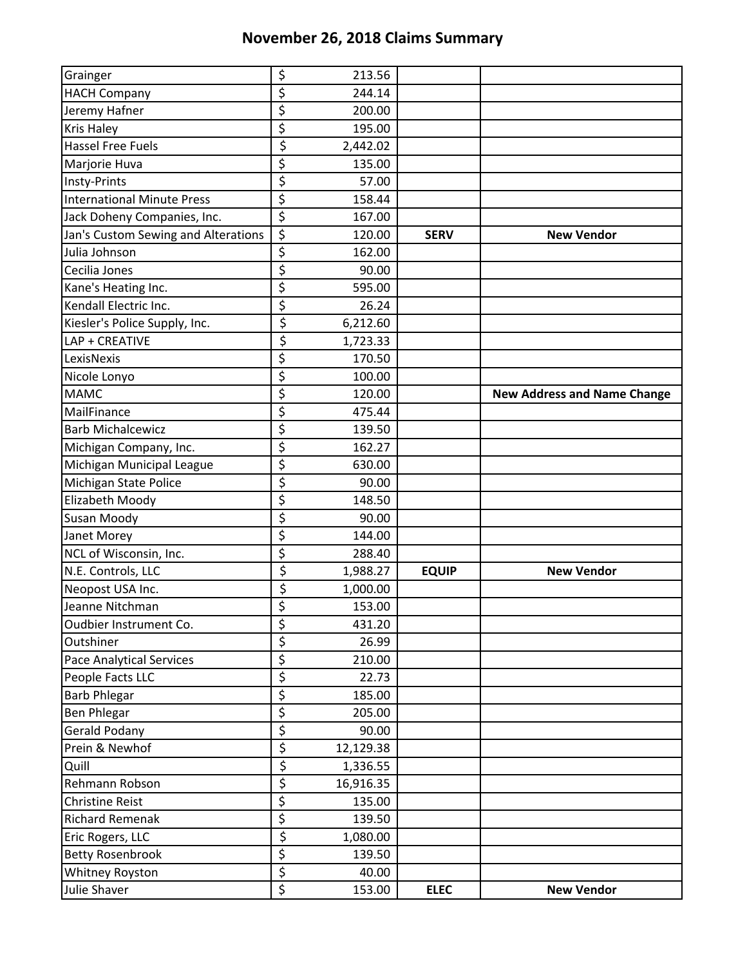## **November 26, 2018 Claims Summary**

| Grainger                            | \$                              | 213.56    |              |                                    |
|-------------------------------------|---------------------------------|-----------|--------------|------------------------------------|
| <b>HACH Company</b>                 | \$                              | 244.14    |              |                                    |
| Jeremy Hafner                       | \$                              | 200.00    |              |                                    |
| <b>Kris Haley</b>                   | \$                              | 195.00    |              |                                    |
| <b>Hassel Free Fuels</b>            | \$                              | 2,442.02  |              |                                    |
| Marjorie Huva                       | \$                              | 135.00    |              |                                    |
| Insty-Prints                        | \$                              | 57.00     |              |                                    |
| <b>International Minute Press</b>   | \$                              | 158.44    |              |                                    |
| Jack Doheny Companies, Inc.         | \$                              | 167.00    |              |                                    |
| Jan's Custom Sewing and Alterations | \$                              | 120.00    | <b>SERV</b>  | <b>New Vendor</b>                  |
| Julia Johnson                       | \$                              | 162.00    |              |                                    |
| Cecilia Jones                       | \$                              | 90.00     |              |                                    |
| Kane's Heating Inc.                 | \$                              | 595.00    |              |                                    |
| Kendall Electric Inc.               | \$                              | 26.24     |              |                                    |
| Kiesler's Police Supply, Inc.       | $\overline{\xi}$                | 6,212.60  |              |                                    |
| LAP + CREATIVE                      | \$                              | 1,723.33  |              |                                    |
| LexisNexis                          | \$                              | 170.50    |              |                                    |
| Nicole Lonyo                        | \$                              | 100.00    |              |                                    |
| <b>MAMC</b>                         | \$                              | 120.00    |              | <b>New Address and Name Change</b> |
| MailFinance                         | \$                              | 475.44    |              |                                    |
| <b>Barb Michalcewicz</b>            | \$                              | 139.50    |              |                                    |
| Michigan Company, Inc.              | \$                              | 162.27    |              |                                    |
| Michigan Municipal League           | \$                              | 630.00    |              |                                    |
| Michigan State Police               | \$                              | 90.00     |              |                                    |
| Elizabeth Moody                     | \$                              | 148.50    |              |                                    |
| <b>Susan Moody</b>                  | \$                              | 90.00     |              |                                    |
| Janet Morey                         | \$                              | 144.00    |              |                                    |
| NCL of Wisconsin, Inc.              | \$                              | 288.40    |              |                                    |
| N.E. Controls, LLC                  | \$                              | 1,988.27  | <b>EQUIP</b> | <b>New Vendor</b>                  |
| Neopost USA Inc.                    | \$                              | 1,000.00  |              |                                    |
| Jeanne Nitchman                     | \$                              | 153.00    |              |                                    |
| Oudbier Instrument Co.              | \$                              | 431.20    |              |                                    |
| Outshiner                           | $\overline{\boldsymbol{\zeta}}$ | 26.99     |              |                                    |
| <b>Pace Analytical Services</b>     | \$                              | 210.00    |              |                                    |
| People Facts LLC                    | \$                              | 22.73     |              |                                    |
| <b>Barb Phlegar</b>                 | \$                              | 185.00    |              |                                    |
| <b>Ben Phlegar</b>                  | \$                              | 205.00    |              |                                    |
| <b>Gerald Podany</b>                | \$                              | 90.00     |              |                                    |
| Prein & Newhof                      | \$                              | 12,129.38 |              |                                    |
| Quill                               | $\overline{\xi}$                | 1,336.55  |              |                                    |
| Rehmann Robson                      | \$                              | 16,916.35 |              |                                    |
| <b>Christine Reist</b>              | \$                              | 135.00    |              |                                    |
| <b>Richard Remenak</b>              | \$                              | 139.50    |              |                                    |
| Eric Rogers, LLC                    | \$                              | 1,080.00  |              |                                    |
| <b>Betty Rosenbrook</b>             | \$                              | 139.50    |              |                                    |
| Whitney Royston                     | \$                              | 40.00     |              |                                    |
| Julie Shaver                        | \$                              | 153.00    | <b>ELEC</b>  | <b>New Vendor</b>                  |